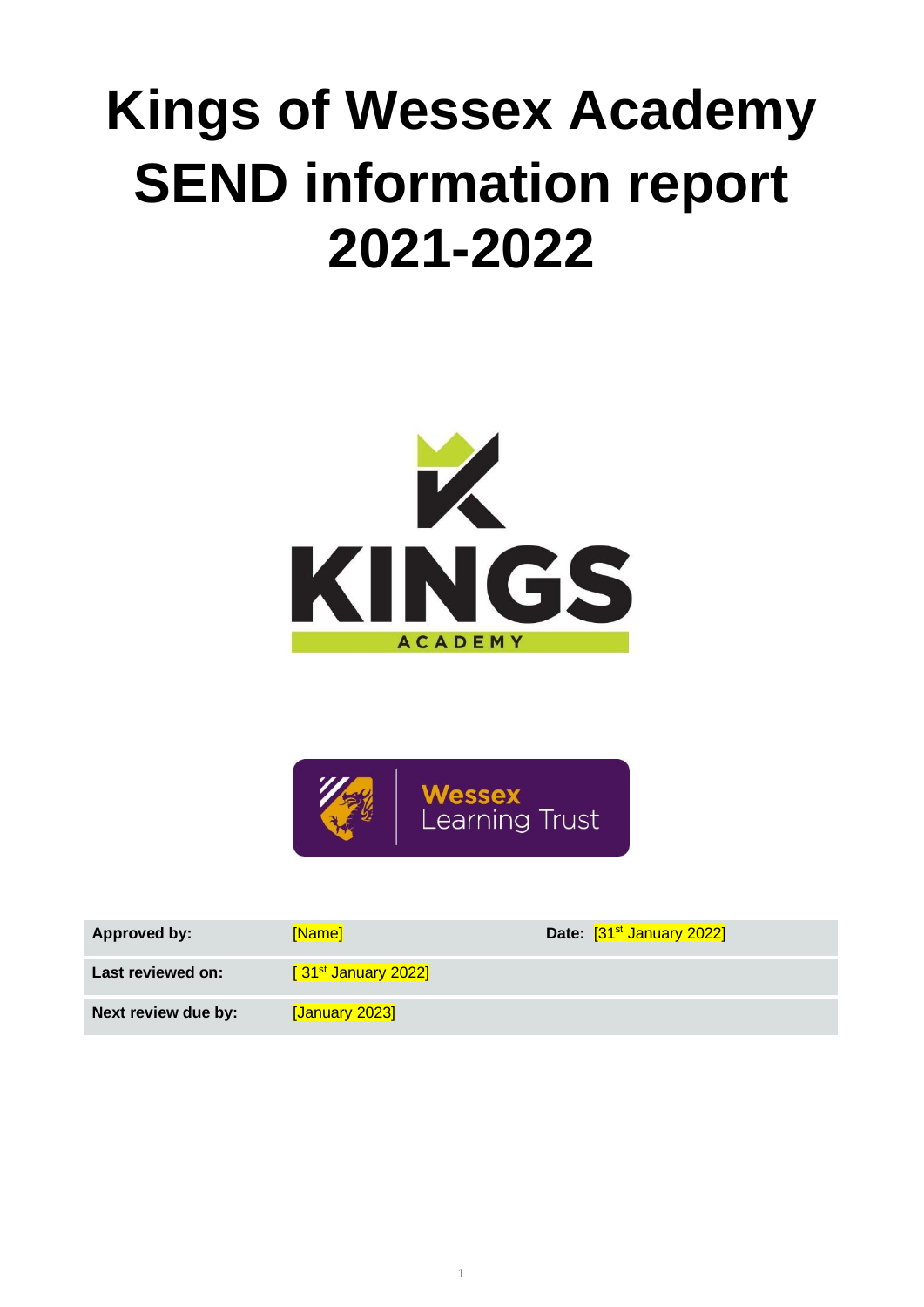# **Kings of Wessex Academy SEND information report 2021-2022**





| <b>Approved by:</b> | [Name]                | Date: [31 <sup>st</sup> January 2022] |
|---------------------|-----------------------|---------------------------------------|
| Last reviewed on:   | $[31st$ January 2022] |                                       |
| Next review due by: | [January 2023]        |                                       |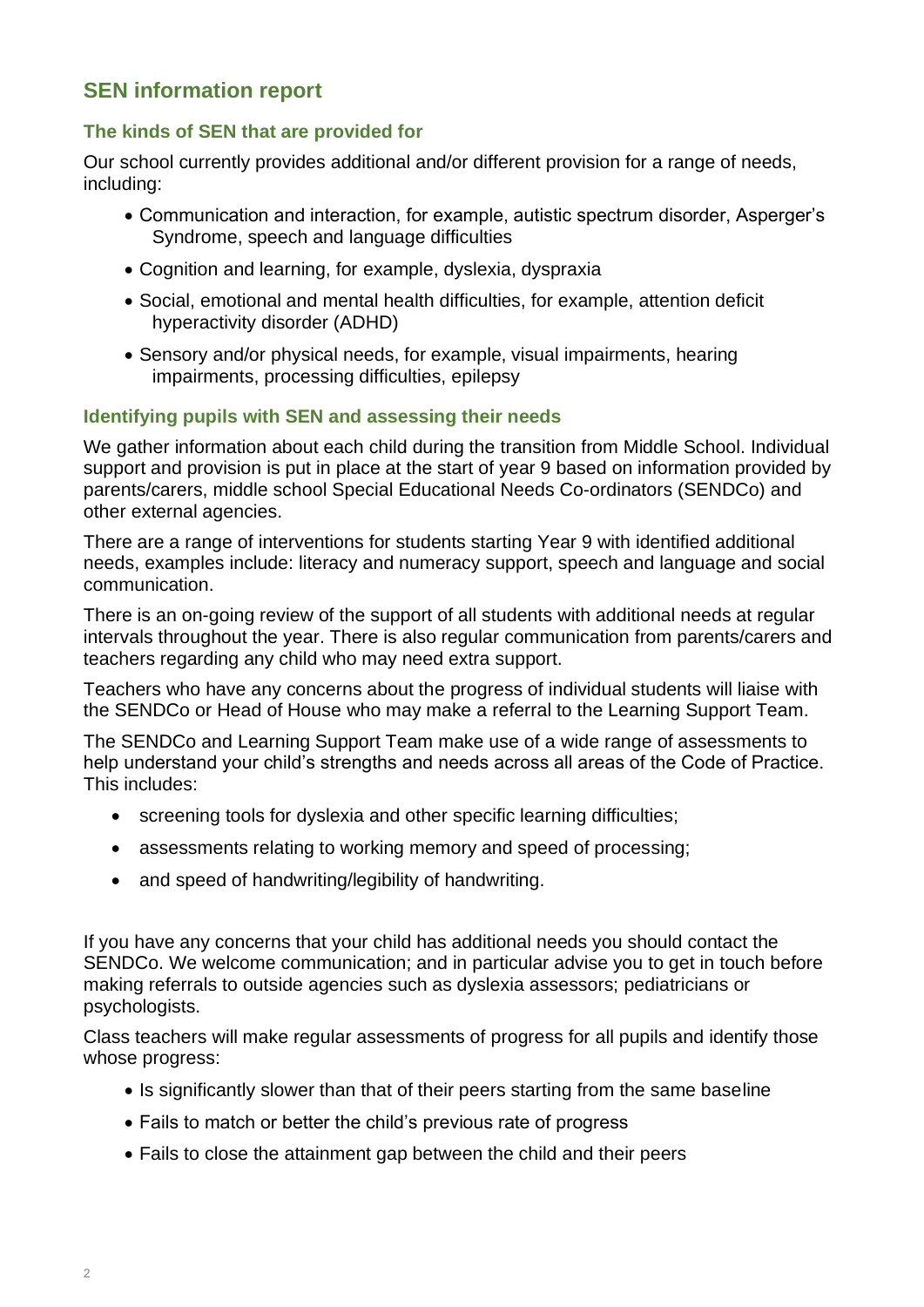# **SEN information report**

#### **The kinds of SEN that are provided for**

Our school currently provides additional and/or different provision for a range of needs, including:

- Communication and interaction, for example, autistic spectrum disorder, Asperger's Syndrome, speech and language difficulties
- Cognition and learning, for example, dyslexia, dyspraxia
- Social, emotional and mental health difficulties, for example, attention deficit hyperactivity disorder (ADHD)
- Sensory and/or physical needs, for example, visual impairments, hearing impairments, processing difficulties, epilepsy

#### **Identifying pupils with SEN and assessing their needs**

We gather information about each child during the transition from Middle School. Individual support and provision is put in place at the start of year 9 based on information provided by parents/carers, middle school Special Educational Needs Co-ordinators (SENDCo) and other external agencies.

There are a range of interventions for students starting Year 9 with identified additional needs, examples include: literacy and numeracy support, speech and language and social communication.

There is an on-going review of the support of all students with additional needs at regular intervals throughout the year. There is also regular communication from parents/carers and teachers regarding any child who may need extra support.

Teachers who have any concerns about the progress of individual students will liaise with the SENDCo or Head of House who may make a referral to the Learning Support Team.

The SENDCo and Learning Support Team make use of a wide range of assessments to help understand your child's strengths and needs across all areas of the Code of Practice. This includes:

- screening tools for dyslexia and other specific learning difficulties;
- assessments relating to working memory and speed of processing;
- and speed of handwriting/legibility of handwriting.

If you have any concerns that your child has additional needs you should contact the SENDCo. We welcome communication; and in particular advise you to get in touch before making referrals to outside agencies such as dyslexia assessors; pediatricians or psychologists.

Class teachers will make regular assessments of progress for all pupils and identify those whose progress:

- Is significantly slower than that of their peers starting from the same baseline
- Fails to match or better the child's previous rate of progress
- Fails to close the attainment gap between the child and their peers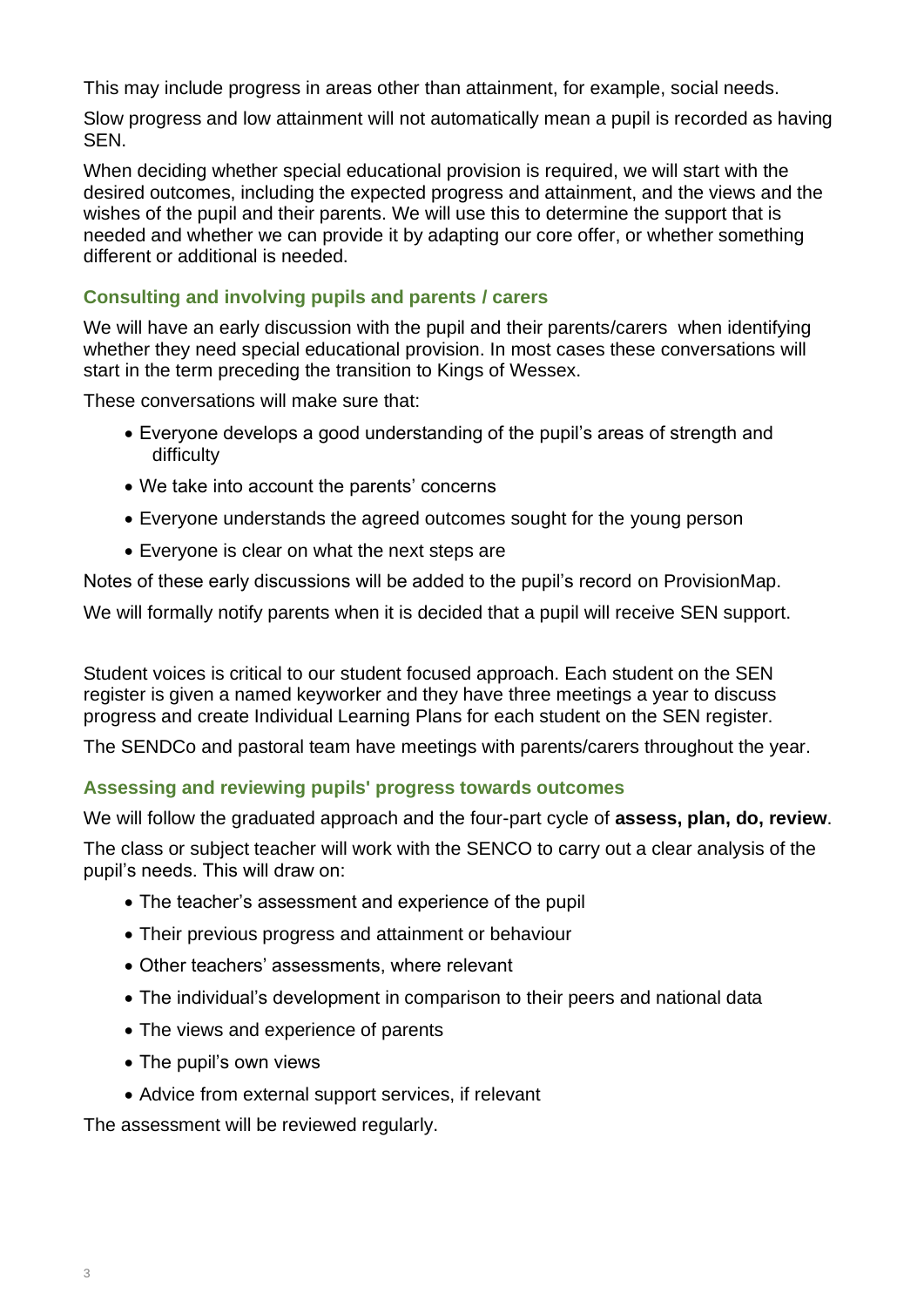This may include progress in areas other than attainment, for example, social needs.

Slow progress and low attainment will not automatically mean a pupil is recorded as having SEN.

When deciding whether special educational provision is required, we will start with the desired outcomes, including the expected progress and attainment, and the views and the wishes of the pupil and their parents. We will use this to determine the support that is needed and whether we can provide it by adapting our core offer, or whether something different or additional is needed.

# **Consulting and involving pupils and parents / carers**

We will have an early discussion with the pupil and their parents/carers when identifying whether they need special educational provision. In most cases these conversations will start in the term preceding the transition to Kings of Wessex.

These conversations will make sure that:

- Everyone develops a good understanding of the pupil's areas of strength and difficulty
- We take into account the parents' concerns
- Everyone understands the agreed outcomes sought for the young person
- Everyone is clear on what the next steps are

Notes of these early discussions will be added to the pupil's record on ProvisionMap.

We will formally notify parents when it is decided that a pupil will receive SEN support.

Student voices is critical to our student focused approach. Each student on the SEN register is given a named keyworker and they have three meetings a year to discuss progress and create Individual Learning Plans for each student on the SEN register.

The SENDCo and pastoral team have meetings with parents/carers throughout the year.

# **Assessing and reviewing pupils' progress towards outcomes**

We will follow the graduated approach and the four-part cycle of **assess, plan, do, review**.

The class or subject teacher will work with the SENCO to carry out a clear analysis of the pupil's needs. This will draw on:

- The teacher's assessment and experience of the pupil
- Their previous progress and attainment or behaviour
- Other teachers' assessments, where relevant
- The individual's development in comparison to their peers and national data
- The views and experience of parents
- The pupil's own views
- Advice from external support services, if relevant

The assessment will be reviewed regularly.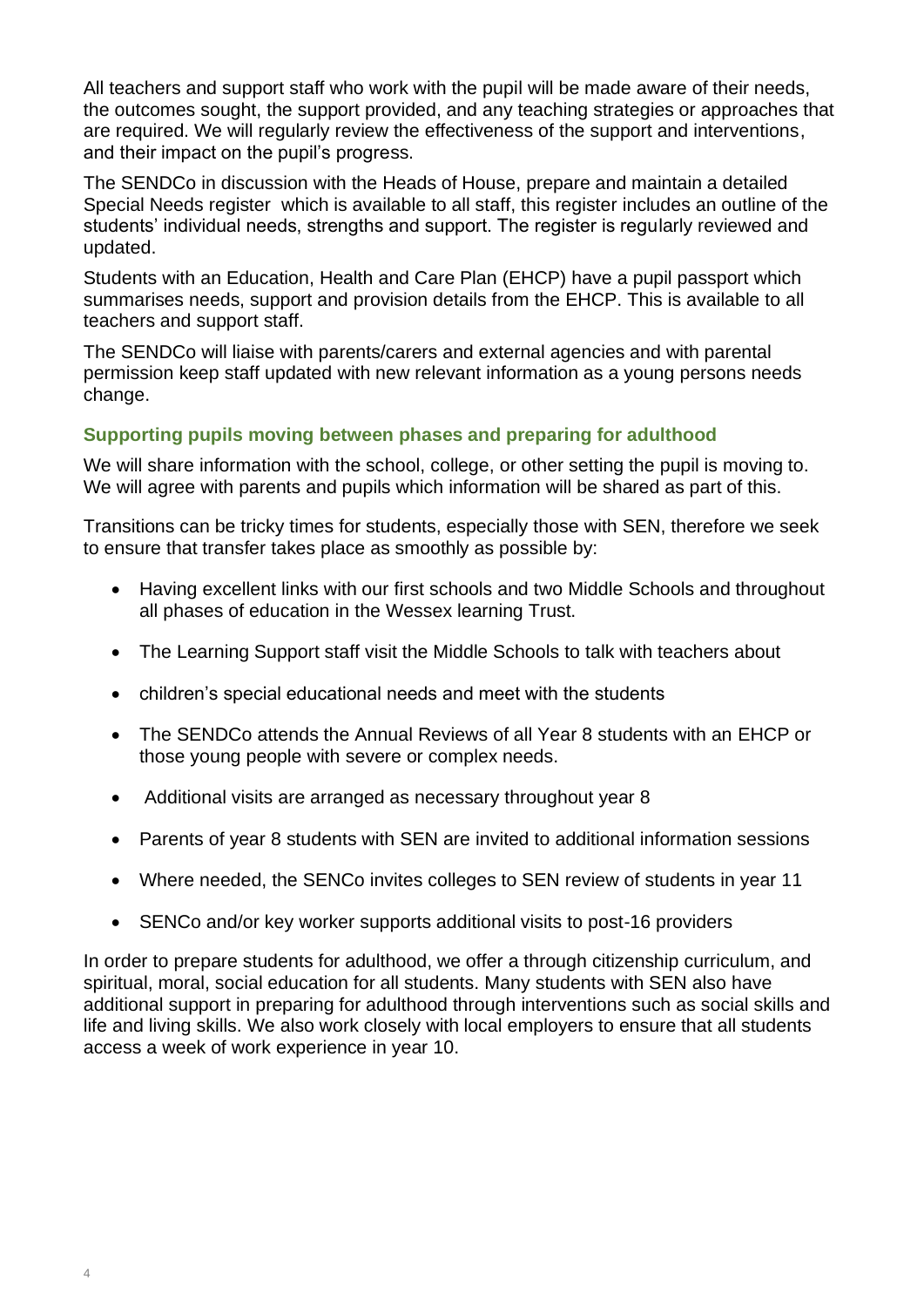All teachers and support staff who work with the pupil will be made aware of their needs, the outcomes sought, the support provided, and any teaching strategies or approaches that are required. We will regularly review the effectiveness of the support and interventions, and their impact on the pupil's progress.

The SENDCo in discussion with the Heads of House, prepare and maintain a detailed Special Needs register which is available to all staff, this register includes an outline of the students' individual needs, strengths and support. The register is regularly reviewed and updated.

Students with an Education, Health and Care Plan (EHCP) have a pupil passport which summarises needs, support and provision details from the EHCP. This is available to all teachers and support staff.

The SENDCo will liaise with parents/carers and external agencies and with parental permission keep staff updated with new relevant information as a young persons needs change.

#### **Supporting pupils moving between phases and preparing for adulthood**

We will share information with the school, college, or other setting the pupil is moving to. We will agree with parents and pupils which information will be shared as part of this.

Transitions can be tricky times for students, especially those with SEN, therefore we seek to ensure that transfer takes place as smoothly as possible by:

- Having excellent links with our first schools and two Middle Schools and throughout all phases of education in the Wessex learning Trust.
- The Learning Support staff visit the Middle Schools to talk with teachers about
- children's special educational needs and meet with the students
- The SENDCo attends the Annual Reviews of all Year 8 students with an EHCP or those young people with severe or complex needs.
- Additional visits are arranged as necessary throughout year 8
- Parents of year 8 students with SEN are invited to additional information sessions
- Where needed, the SENCo invites colleges to SEN review of students in year 11
- SENCo and/or key worker supports additional visits to post-16 providers

In order to prepare students for adulthood, we offer a through citizenship curriculum, and spiritual, moral, social education for all students. Many students with SEN also have additional support in preparing for adulthood through interventions such as social skills and life and living skills. We also work closely with local employers to ensure that all students access a week of work experience in year 10.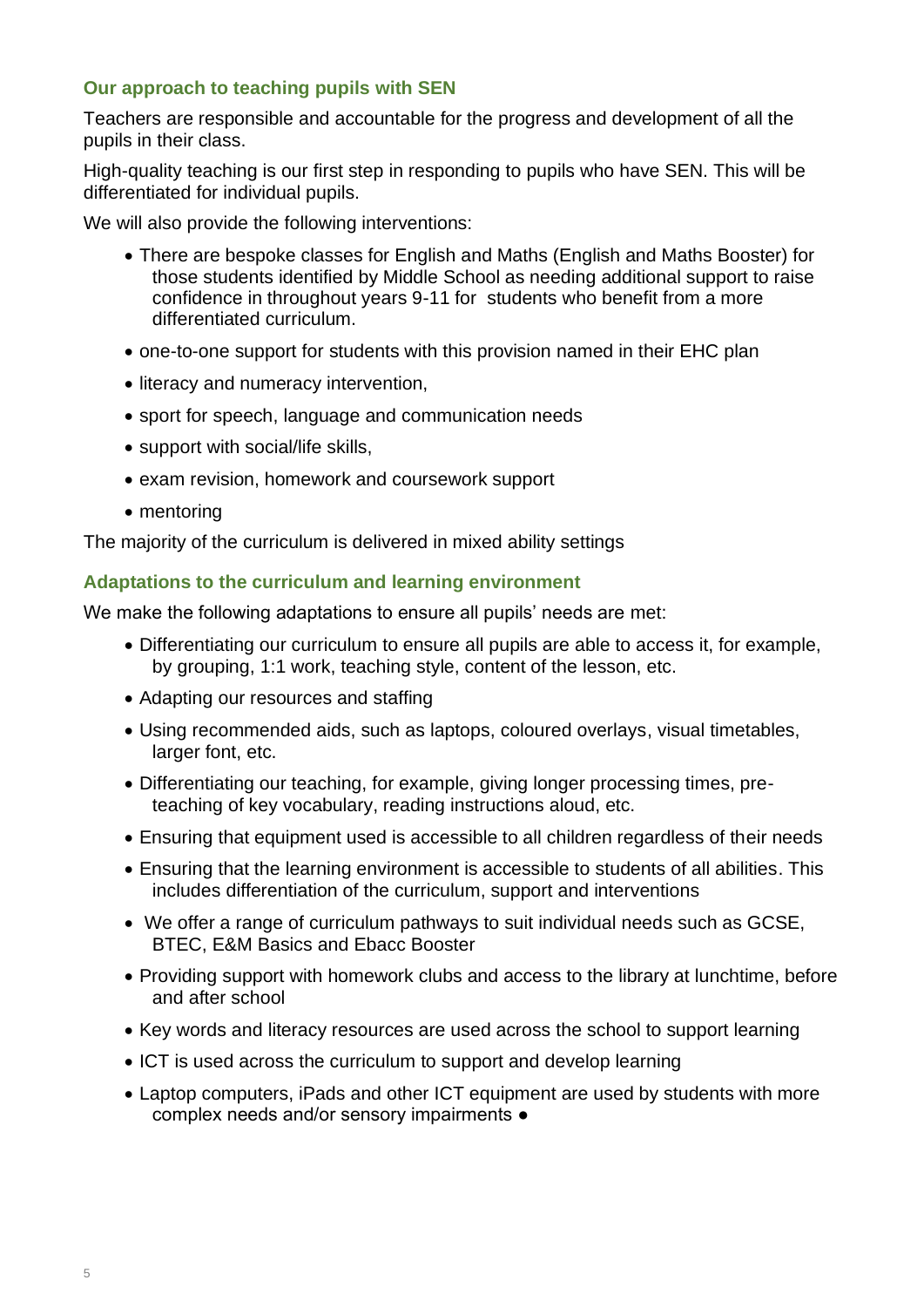# **Our approach to teaching pupils with SEN**

Teachers are responsible and accountable for the progress and development of all the pupils in their class.

High-quality teaching is our first step in responding to pupils who have SEN. This will be differentiated for individual pupils.

We will also provide the following interventions:

- There are bespoke classes for English and Maths (English and Maths Booster) for those students identified by Middle School as needing additional support to raise confidence in throughout years 9-11 for students who benefit from a more differentiated curriculum.
- one-to-one support for students with this provision named in their EHC plan
- literacy and numeracy intervention,
- sport for speech, language and communication needs
- support with social/life skills,
- exam revision, homework and coursework support
- mentoring

The majority of the curriculum is delivered in mixed ability settings

#### **Adaptations to the curriculum and learning environment**

We make the following adaptations to ensure all pupils' needs are met:

- Differentiating our curriculum to ensure all pupils are able to access it, for example, by grouping, 1:1 work, teaching style, content of the lesson, etc.
- Adapting our resources and staffing
- Using recommended aids, such as laptops, coloured overlays, visual timetables, larger font, etc.
- Differentiating our teaching, for example, giving longer processing times, preteaching of key vocabulary, reading instructions aloud, etc.
- Ensuring that equipment used is accessible to all children regardless of their needs
- Ensuring that the learning environment is accessible to students of all abilities. This includes differentiation of the curriculum, support and interventions
- We offer a range of curriculum pathways to suit individual needs such as GCSE, BTEC, E&M Basics and Ebacc Booster
- Providing support with homework clubs and access to the library at lunchtime, before and after school
- Key words and literacy resources are used across the school to support learning
- ICT is used across the curriculum to support and develop learning
- Laptop computers, iPads and other ICT equipment are used by students with more complex needs and/or sensory impairments ●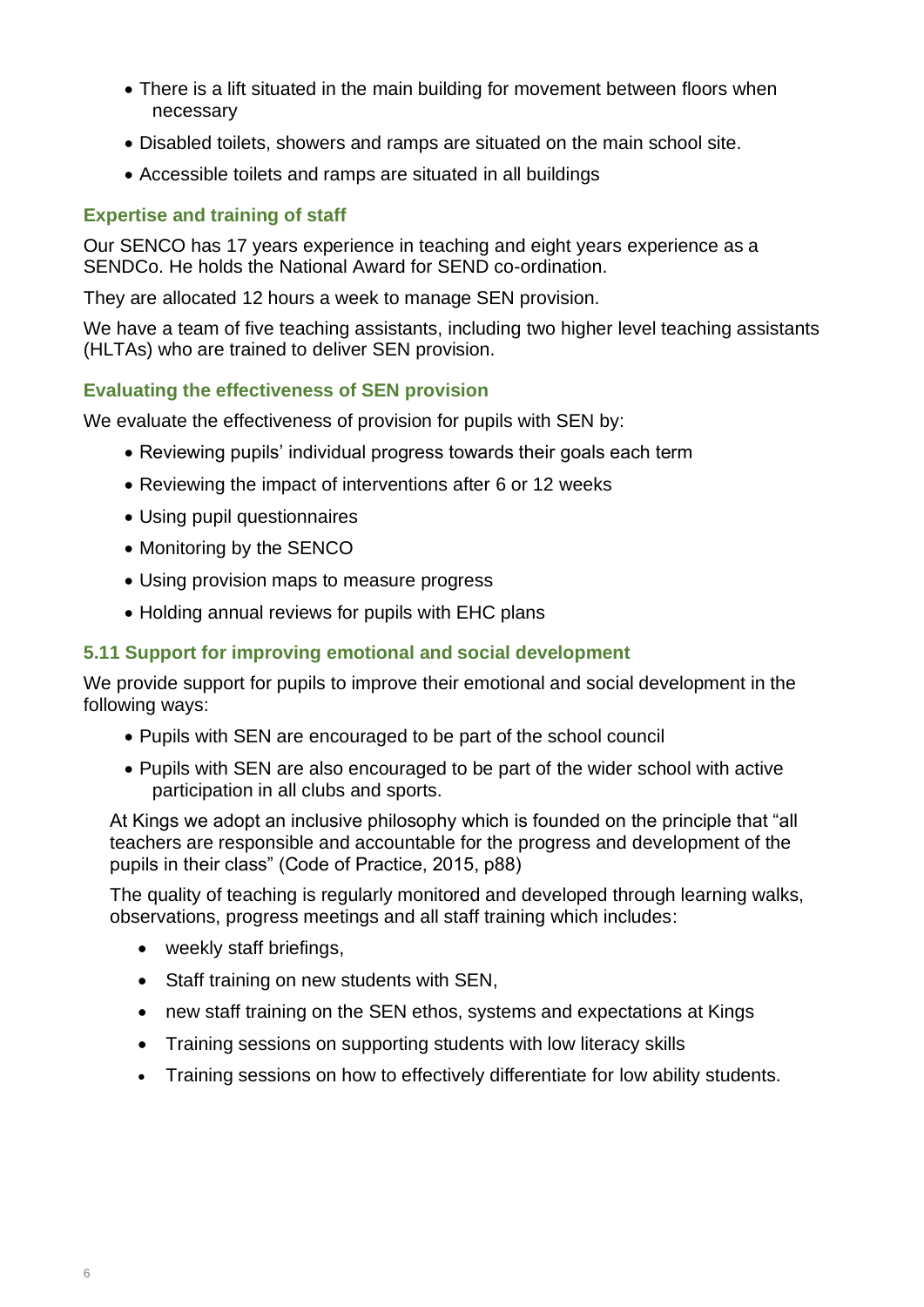- There is a lift situated in the main building for movement between floors when necessary
- Disabled toilets, showers and ramps are situated on the main school site.
- Accessible toilets and ramps are situated in all buildings

#### **Expertise and training of staff**

Our SENCO has 17 years experience in teaching and eight years experience as a SENDCo. He holds the National Award for SEND co-ordination.

They are allocated 12 hours a week to manage SEN provision.

We have a team of five teaching assistants, including two higher level teaching assistants (HLTAs) who are trained to deliver SEN provision.

#### **Evaluating the effectiveness of SEN provision**

We evaluate the effectiveness of provision for pupils with SEN by:

- Reviewing pupils' individual progress towards their goals each term
- Reviewing the impact of interventions after 6 or 12 weeks
- Using pupil questionnaires
- Monitoring by the SENCO
- Using provision maps to measure progress
- Holding annual reviews for pupils with EHC plans

#### **5.11 Support for improving emotional and social development**

We provide support for pupils to improve their emotional and social development in the following ways:

- Pupils with SEN are encouraged to be part of the school council
- Pupils with SEN are also encouraged to be part of the wider school with active participation in all clubs and sports.

At Kings we adopt an inclusive philosophy which is founded on the principle that "all teachers are responsible and accountable for the progress and development of the pupils in their class" (Code of Practice, 2015, p88)

The quality of teaching is regularly monitored and developed through learning walks, observations, progress meetings and all staff training which includes:

- weekly staff briefings,
- Staff training on new students with SEN,
- new staff training on the SEN ethos, systems and expectations at Kings
- Training sessions on supporting students with low literacy skills
- Training sessions on how to effectively differentiate for low ability students.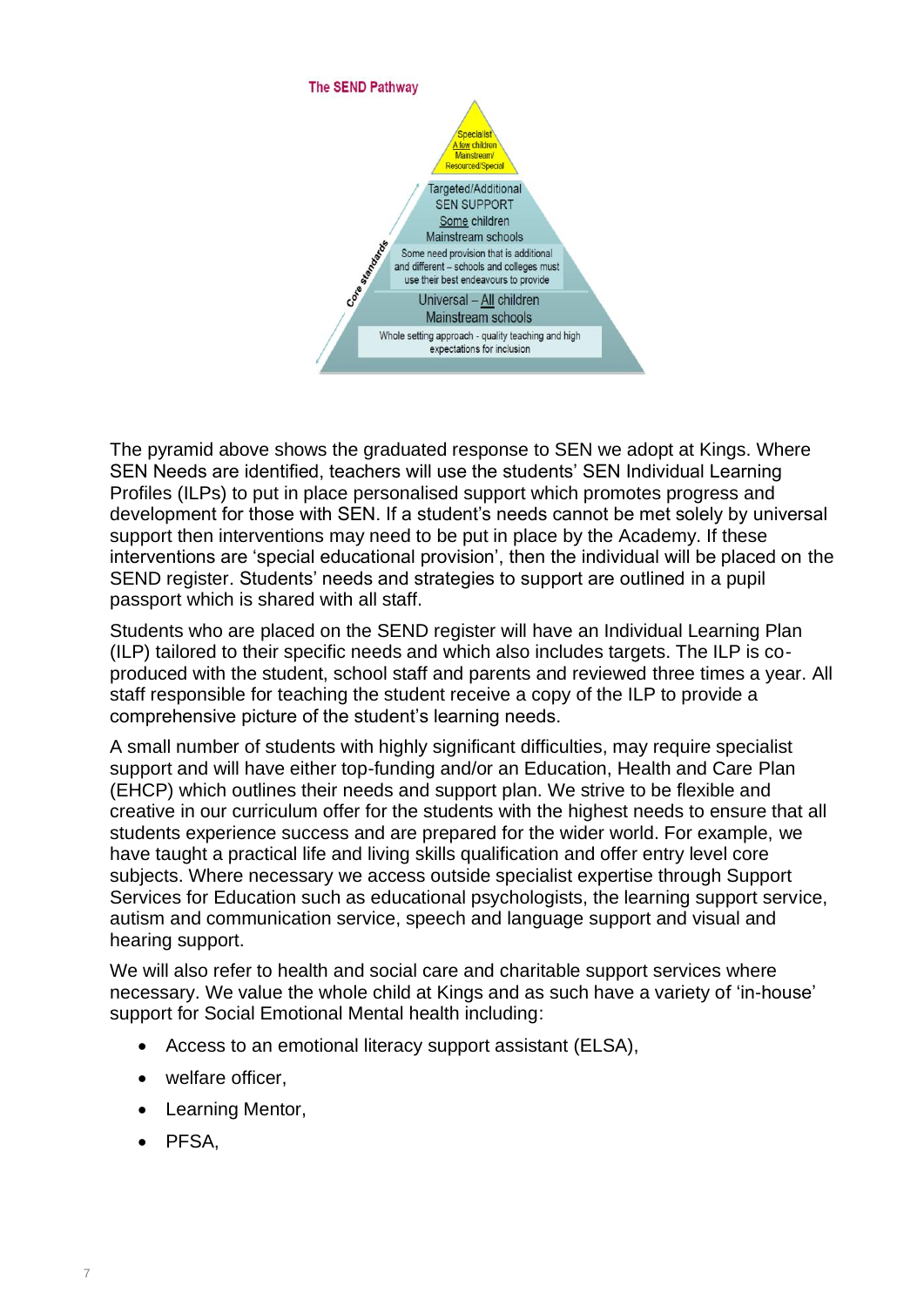

The pyramid above shows the graduated response to SEN we adopt at Kings. Where SEN Needs are identified, teachers will use the students' SEN Individual Learning Profiles (ILPs) to put in place personalised support which promotes progress and development for those with SEN. If a student's needs cannot be met solely by universal support then interventions may need to be put in place by the Academy. If these interventions are 'special educational provision', then the individual will be placed on the SEND register. Students' needs and strategies to support are outlined in a pupil passport which is shared with all staff.

Students who are placed on the SEND register will have an Individual Learning Plan (ILP) tailored to their specific needs and which also includes targets. The ILP is coproduced with the student, school staff and parents and reviewed three times a year. All staff responsible for teaching the student receive a copy of the ILP to provide a comprehensive picture of the student's learning needs.

A small number of students with highly significant difficulties, may require specialist support and will have either top-funding and/or an Education, Health and Care Plan (EHCP) which outlines their needs and support plan. We strive to be flexible and creative in our curriculum offer for the students with the highest needs to ensure that all students experience success and are prepared for the wider world. For example, we have taught a practical life and living skills qualification and offer entry level core subjects. Where necessary we access outside specialist expertise through Support Services for Education such as educational psychologists, the learning support service, autism and communication service, speech and language support and visual and hearing support.

We will also refer to health and social care and charitable support services where necessary. We value the whole child at Kings and as such have a variety of 'in-house' support for Social Emotional Mental health including:

- Access to an emotional literacy support assistant (ELSA),
- welfare officer,
- Learning Mentor,
- PFSA,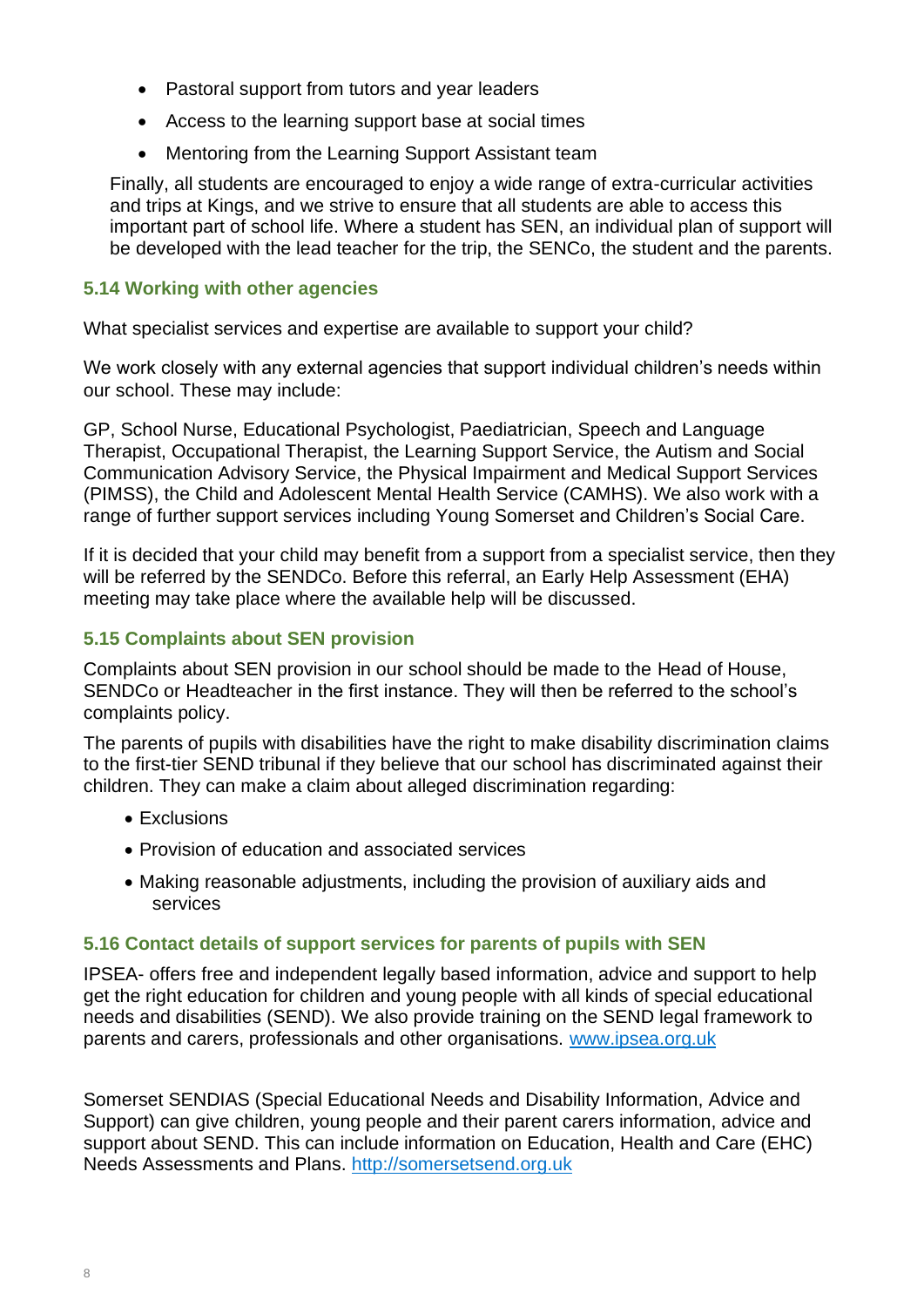- Pastoral support from tutors and year leaders
- Access to the learning support base at social times
- Mentoring from the Learning Support Assistant team

Finally, all students are encouraged to enjoy a wide range of extra-curricular activities and trips at Kings, and we strive to ensure that all students are able to access this important part of school life. Where a student has SEN, an individual plan of support will be developed with the lead teacher for the trip, the SENCo, the student and the parents.

#### **5.14 Working with other agencies**

What specialist services and expertise are available to support your child?

We work closely with any external agencies that support individual children's needs within our school. These may include:

GP, School Nurse, Educational Psychologist, Paediatrician, Speech and Language Therapist, Occupational Therapist, the Learning Support Service, the Autism and Social Communication Advisory Service, the Physical Impairment and Medical Support Services (PIMSS), the Child and Adolescent Mental Health Service (CAMHS). We also work with a range of further support services including Young Somerset and Children's Social Care.

If it is decided that your child may benefit from a support from a specialist service, then they will be referred by the SENDCo. Before this referral, an Early Help Assessment (EHA) meeting may take place where the available help will be discussed.

# **5.15 Complaints about SEN provision**

Complaints about SEN provision in our school should be made to the Head of House, SENDCo or Headteacher in the first instance. They will then be referred to the school's complaints policy.

The parents of pupils with disabilities have the right to make disability discrimination claims to the first-tier SEND tribunal if they believe that our school has discriminated against their children. They can make a claim about alleged discrimination regarding:

- Exclusions
- Provision of education and associated services
- Making reasonable adjustments, including the provision of auxiliary aids and services

#### **5.16 Contact details of support services for parents of pupils with SEN**

IPSEA- offers free and independent legally based information, advice and support to help get the right education for children and young people with all kinds of special educational needs and disabilities (SEND). We also provide training on the SEND legal framework to parents and carers, professionals and other organisations. [www.ipsea.org.uk](http://www.ipsea.org.uk/)

Somerset SENDIAS (Special Educational Needs and Disability Information, Advice and Support) can give children, young people and their parent carers information, advice and support about SEND. This can include information on Education, Health and Care (EHC) Needs Assessments and Plans. [http://somersetsend.org.uk](http://somersetsend.org.uk/)